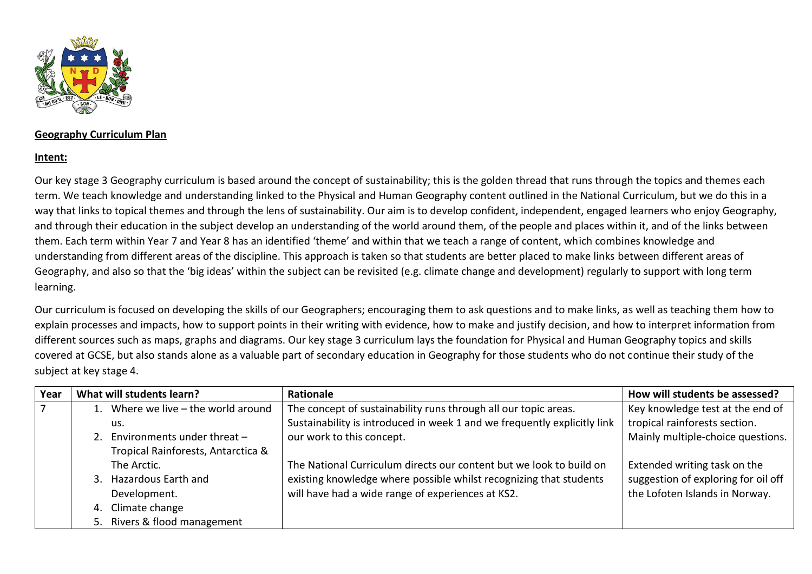

## **Geography Curriculum Plan**

## **Intent:**

Our key stage 3 Geography curriculum is based around the concept of sustainability; this is the golden thread that runs through the topics and themes each term. We teach knowledge and understanding linked to the Physical and Human Geography content outlined in the National Curriculum, but we do this in a way that links to topical themes and through the lens of sustainability. Our aim is to develop confident, independent, engaged learners who enjoy Geography, and through their education in the subject develop an understanding of the world around them, of the people and places within it, and of the links between them. Each term within Year 7 and Year 8 has an identified 'theme' and within that we teach a range of content, which combines knowledge and understanding from different areas of the discipline. This approach is taken so that students are better placed to make links between different areas of Geography, and also so that the 'big ideas' within the subject can be revisited (e.g. climate change and development) regularly to support with long term learning.

Our curriculum is focused on developing the skills of our Geographers; encouraging them to ask questions and to make links, as well as teaching them how to explain processes and impacts, how to support points in their writing with evidence, how to make and justify decision, and how to interpret information from different sources such as maps, graphs and diagrams. Our key stage 3 curriculum lays the foundation for Physical and Human Geography topics and skills covered at GCSE, but also stands alone as a valuable part of secondary education in Geography for those students who do not continue their study of the subject at key stage 4.

| Year | What will students learn?          | <b>Rationale</b>                                                         | How will students be assessed?      |
|------|------------------------------------|--------------------------------------------------------------------------|-------------------------------------|
|      | Where we live $-$ the world around | The concept of sustainability runs through all our topic areas.          | Key knowledge test at the end of    |
|      | us.                                | Sustainability is introduced in week 1 and we frequently explicitly link | tropical rainforests section.       |
|      | Environments under threat $-$      | our work to this concept.                                                | Mainly multiple-choice questions.   |
|      | Tropical Rainforests, Antarctica & |                                                                          |                                     |
|      | The Arctic.                        | The National Curriculum directs our content but we look to build on      | Extended writing task on the        |
|      | 3. Hazardous Earth and             | existing knowledge where possible whilst recognizing that students       | suggestion of exploring for oil off |
|      | Development.                       | will have had a wide range of experiences at KS2.                        | the Lofoten Islands in Norway.      |
|      | Climate change<br>4.               |                                                                          |                                     |
|      | 5. Rivers & flood management       |                                                                          |                                     |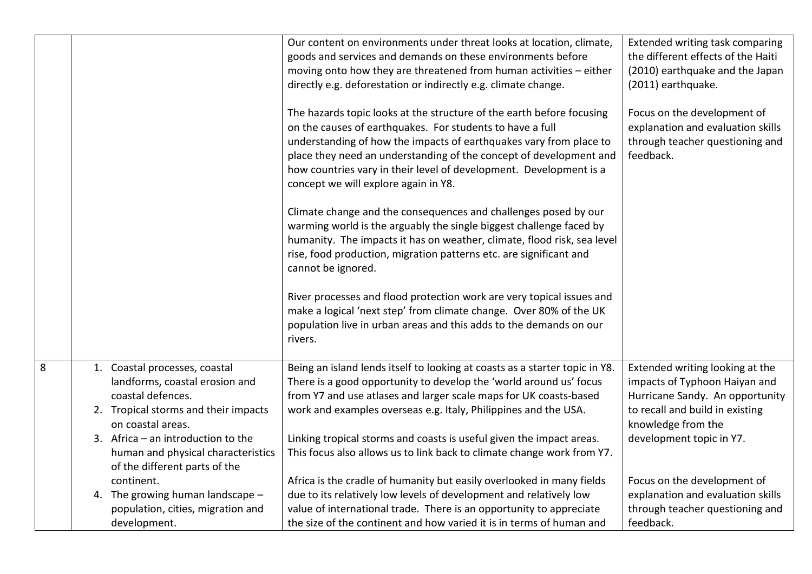|   |                                                                                                                                                   | Our content on environments under threat looks at location, climate,<br>goods and services and demands on these environments before<br>moving onto how they are threatened from human activities - either<br>directly e.g. deforestation or indirectly e.g. climate change.                                                                                                                  | Extended writing task comparing<br>the different effects of the Haiti<br>(2010) earthquake and the Japan<br>(2011) earthquake.                               |
|---|---------------------------------------------------------------------------------------------------------------------------------------------------|----------------------------------------------------------------------------------------------------------------------------------------------------------------------------------------------------------------------------------------------------------------------------------------------------------------------------------------------------------------------------------------------|--------------------------------------------------------------------------------------------------------------------------------------------------------------|
|   |                                                                                                                                                   | The hazards topic looks at the structure of the earth before focusing<br>on the causes of earthquakes. For students to have a full<br>understanding of how the impacts of earthquakes vary from place to<br>place they need an understanding of the concept of development and<br>how countries vary in their level of development. Development is a<br>concept we will explore again in Y8. | Focus on the development of<br>explanation and evaluation skills<br>through teacher questioning and<br>feedback.                                             |
|   |                                                                                                                                                   | Climate change and the consequences and challenges posed by our<br>warming world is the arguably the single biggest challenge faced by<br>humanity. The impacts it has on weather, climate, flood risk, sea level<br>rise, food production, migration patterns etc. are significant and<br>cannot be ignored.                                                                                |                                                                                                                                                              |
|   |                                                                                                                                                   | River processes and flood protection work are very topical issues and<br>make a logical 'next step' from climate change. Over 80% of the UK<br>population live in urban areas and this adds to the demands on our<br>rivers.                                                                                                                                                                 |                                                                                                                                                              |
| 8 | 1. Coastal processes, coastal<br>landforms, coastal erosion and<br>coastal defences.<br>2. Tropical storms and their impacts<br>on coastal areas. | Being an island lends itself to looking at coasts as a starter topic in Y8.<br>There is a good opportunity to develop the 'world around us' focus<br>from Y7 and use atlases and larger scale maps for UK coasts-based<br>work and examples overseas e.g. Italy, Philippines and the USA.                                                                                                    | Extended writing looking at the<br>impacts of Typhoon Haiyan and<br>Hurricane Sandy. An opportunity<br>to recall and build in existing<br>knowledge from the |
|   | 3. Africa $-$ an introduction to the<br>human and physical characteristics<br>of the different parts of the                                       | Linking tropical storms and coasts is useful given the impact areas.<br>This focus also allows us to link back to climate change work from Y7.                                                                                                                                                                                                                                               | development topic in Y7.                                                                                                                                     |
|   | continent.                                                                                                                                        | Africa is the cradle of humanity but easily overlooked in many fields                                                                                                                                                                                                                                                                                                                        | Focus on the development of                                                                                                                                  |
|   | 4. The growing human landscape -                                                                                                                  | due to its relatively low levels of development and relatively low                                                                                                                                                                                                                                                                                                                           | explanation and evaluation skills                                                                                                                            |
|   | population, cities, migration and                                                                                                                 | value of international trade. There is an opportunity to appreciate                                                                                                                                                                                                                                                                                                                          | through teacher questioning and                                                                                                                              |
|   | development.                                                                                                                                      | the size of the continent and how varied it is in terms of human and                                                                                                                                                                                                                                                                                                                         | feedback.                                                                                                                                                    |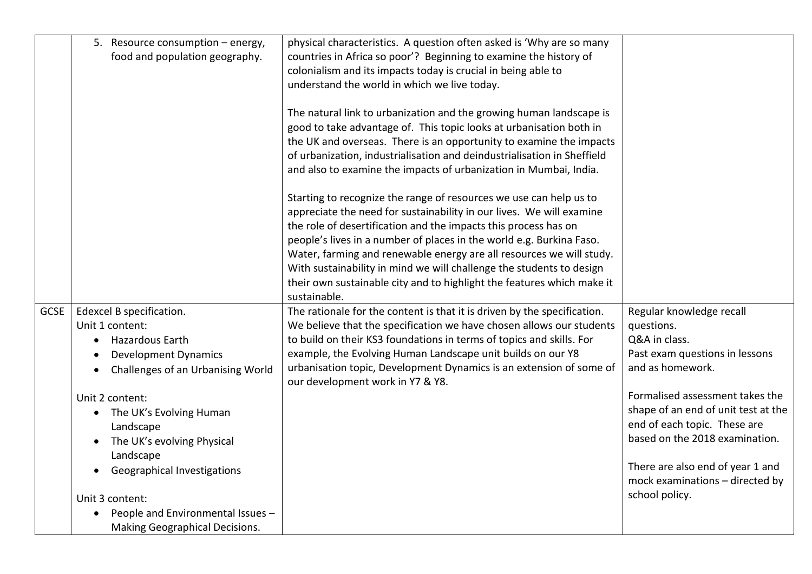| 5. Resource consumption - energy,<br>food and population geography.                                                                                                                                                                                                                                                                                                                                                                                      | physical characteristics. A question often asked is 'Why are so many<br>countries in Africa so poor'? Beginning to examine the history of<br>colonialism and its impacts today is crucial in being able to<br>understand the world in which we live today.<br>The natural link to urbanization and the growing human landscape is<br>good to take advantage of. This topic looks at urbanisation both in<br>the UK and overseas. There is an opportunity to examine the impacts<br>of urbanization, industrialisation and deindustrialisation in Sheffield<br>and also to examine the impacts of urbanization in Mumbai, India.<br>Starting to recognize the range of resources we use can help us to<br>appreciate the need for sustainability in our lives. We will examine<br>the role of desertification and the impacts this process has on<br>people's lives in a number of places in the world e.g. Burkina Faso.<br>Water, farming and renewable energy are all resources we will study.<br>With sustainability in mind we will challenge the students to design<br>their own sustainable city and to highlight the features which make it<br>sustainable. |                                                                                                                                                                                                                                                                                                                                                    |
|----------------------------------------------------------------------------------------------------------------------------------------------------------------------------------------------------------------------------------------------------------------------------------------------------------------------------------------------------------------------------------------------------------------------------------------------------------|--------------------------------------------------------------------------------------------------------------------------------------------------------------------------------------------------------------------------------------------------------------------------------------------------------------------------------------------------------------------------------------------------------------------------------------------------------------------------------------------------------------------------------------------------------------------------------------------------------------------------------------------------------------------------------------------------------------------------------------------------------------------------------------------------------------------------------------------------------------------------------------------------------------------------------------------------------------------------------------------------------------------------------------------------------------------------------------------------------------------------------------------------------------------|----------------------------------------------------------------------------------------------------------------------------------------------------------------------------------------------------------------------------------------------------------------------------------------------------------------------------------------------------|
| <b>GCSE</b><br>Edexcel B specification.<br>Unit 1 content:<br>Hazardous Earth<br>$\bullet$<br><b>Development Dynamics</b><br>$\bullet$<br>Challenges of an Urbanising World<br>Unit 2 content:<br>The UK's Evolving Human<br>$\bullet$<br>Landscape<br>The UK's evolving Physical<br>$\bullet$<br>Landscape<br><b>Geographical Investigations</b><br>Unit 3 content:<br>People and Environmental Issues -<br>$\bullet$<br>Making Geographical Decisions. | The rationale for the content is that it is driven by the specification.<br>We believe that the specification we have chosen allows our students<br>to build on their KS3 foundations in terms of topics and skills. For<br>example, the Evolving Human Landscape unit builds on our Y8<br>urbanisation topic, Development Dynamics is an extension of some of<br>our development work in Y7 & Y8.                                                                                                                                                                                                                                                                                                                                                                                                                                                                                                                                                                                                                                                                                                                                                                 | Regular knowledge recall<br>questions.<br>Q&A in class.<br>Past exam questions in lessons<br>and as homework.<br>Formalised assessment takes the<br>shape of an end of unit test at the<br>end of each topic. These are<br>based on the 2018 examination.<br>There are also end of year 1 and<br>mock examinations - directed by<br>school policy. |